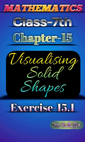

# Exercise-15.1

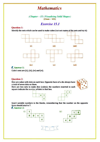# **Mathematics**

 $(Chapter - 15)$  (Visualising Solid Shapes)<br>(Class - VII)

## Exercise 15.1

#### Question 1:

Identify the nets which can be used to make cubes (cut out copies of the nets and try it):



#### *Answer 1:*

Cube's nets are (i), (ii), (iv) and (vi).

#### Question 2:

Dice are cubes with dots on each face. Opposite faces of a die always have a total of seven dots on them.

Here are two nets to make dice (cubes); the numbers inserted in each square indicate the number of dots in that box.







Insert suitable numbers in the blanks, remembering that the number on the opposite faces should total to 7.

E Answer 2:

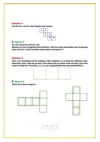#### Question 3:

Can this be a net for a die? Explain your answer.



#### E. Answer 3:

No, this cannot be a net for a die.

Because one pair of opposite faces will have 1 and 4 on them and another pair of opposite faces will have 3 and 6 on them whose total is not equal to 7.

#### Question 4:

Here is an incomplete net for making a cube. Complete it in at least two different ways. Remember that a cube has six faces. How many faces are there in the net here? (Give two separate diagrams. If you like, you may use a squared sheet for easy manipulation.)



#### Answer 4:

There three faces are given: